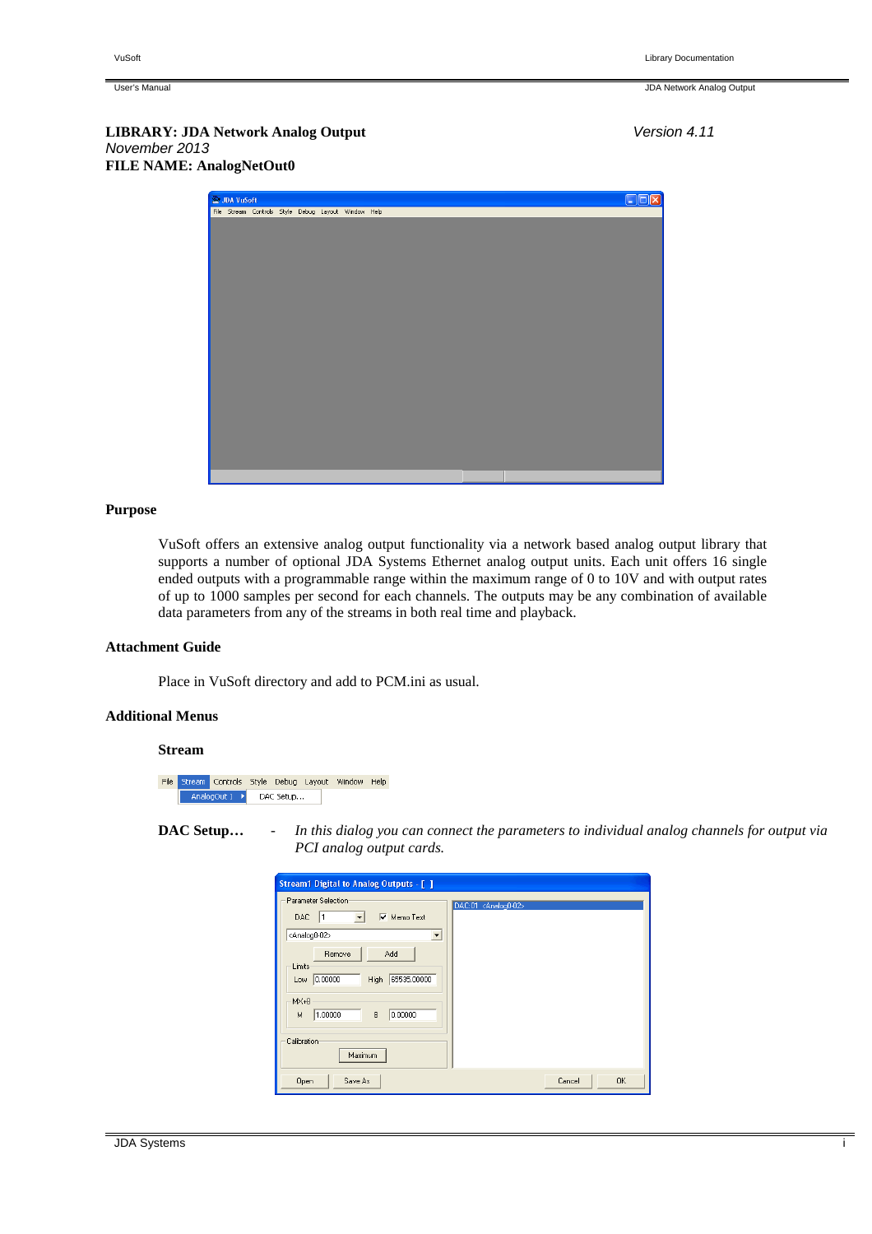## **Purpose**

VuSoft offers an extensive analog output functionality via a network based analog output library that supports a number of optional JDA Systems Ethernet analog output units. Each unit offers 16 single ended outputs with a programmable range within the maximum range of 0 to 10V and with output rates of up to 1000 samples per second for each channels. The outputs may be any combination of available data parameters from any of the streams in both real time and playback.

### **Attachment Guide**

Place in VuSoft directory and add to PCM.ini as usual.

#### **Additional Menus**

#### **Stream**

File Stream Controls Style Debug Layout Window Help AnalogOut 1 > DAC Setup...

**DAC Setup…** - *In this dialog you can connect the parameters to individual analog channels for output via PCI analog output cards.*

| VuSoft | <b>Library Documentation</b> |
|--------|------------------------------|
|        |                              |

User's Manual JDA Network Analog Output

**LIBRARY: JDA Network Analog Output** Version 4.11 November 2013 **FILE NAME: AnalogNetOut0** 

| JDA VuSoft |                                                     |  |  |  | $\square$ ex |
|------------|-----------------------------------------------------|--|--|--|--------------|
|            | File Stream Controls Style Debug Layout Window Help |  |  |  |              |
|            |                                                     |  |  |  |              |
|            |                                                     |  |  |  |              |
|            |                                                     |  |  |  |              |
|            |                                                     |  |  |  |              |
|            |                                                     |  |  |  |              |
|            |                                                     |  |  |  |              |
|            |                                                     |  |  |  |              |
|            |                                                     |  |  |  |              |
|            |                                                     |  |  |  |              |
|            |                                                     |  |  |  |              |
|            |                                                     |  |  |  |              |
|            |                                                     |  |  |  |              |
|            |                                                     |  |  |  |              |
|            |                                                     |  |  |  |              |
|            |                                                     |  |  |  |              |
|            |                                                     |  |  |  |              |
|            |                                                     |  |  |  |              |
|            |                                                     |  |  |  |              |
|            |                                                     |  |  |  |              |
|            |                                                     |  |  |  |              |

| <b>Stream1 Digital to Analog Outputs - [ ]</b>                                                                                            |                                  |
|-------------------------------------------------------------------------------------------------------------------------------------------|----------------------------------|
| Parameter Selection<br><b>▽</b> Memo Text<br>DAC<br>$\vert$ 1<br>$\blacktriangledown$<br><analog0-02><br/>▾</analog0-02>                  | DAC:01 <analog0-02></analog0-02> |
| Remove<br>Add<br>Limits<br>65535.00000<br>0.00000<br><b>High</b><br>Low<br>MX+B<br>B<br>1.00000<br>0.00000<br>М<br>Calibration<br>Maximum |                                  |
| Open<br>Save As                                                                                                                           | 0K<br>Cancel                     |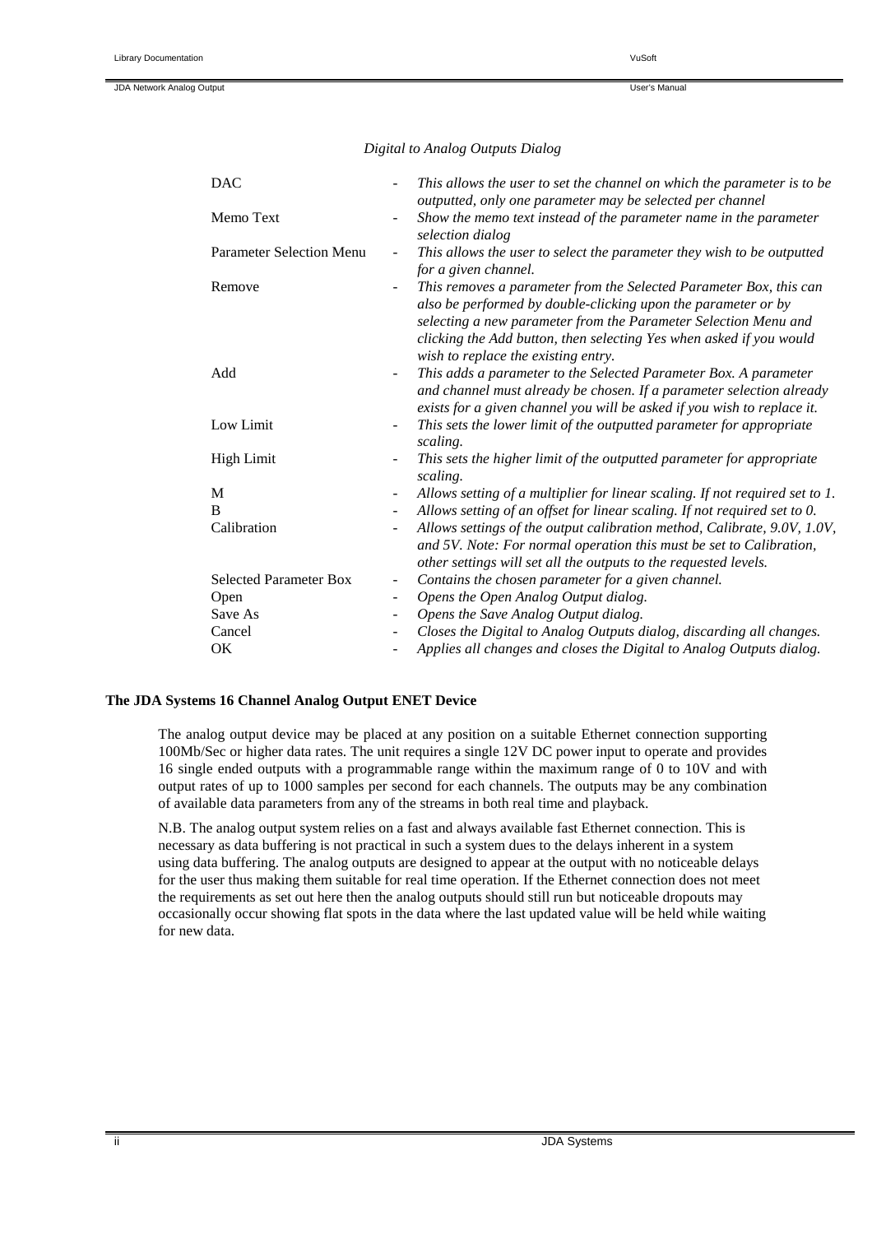## *Digital to Analog Outputs Dialog*

| <b>DAC</b>                      |                          | This allows the user to set the channel on which the parameter is to be                                                                                                                                                                                                                                              |
|---------------------------------|--------------------------|----------------------------------------------------------------------------------------------------------------------------------------------------------------------------------------------------------------------------------------------------------------------------------------------------------------------|
| Memo Text                       | $\overline{\phantom{a}}$ | outputted, only one parameter may be selected per channel<br>Show the memo text instead of the parameter name in the parameter<br>selection dialog                                                                                                                                                                   |
| <b>Parameter Selection Menu</b> | $\blacksquare$           | This allows the user to select the parameter they wish to be outputted<br>for a given channel.                                                                                                                                                                                                                       |
| Remove                          |                          | This removes a parameter from the Selected Parameter Box, this can<br>also be performed by double-clicking upon the parameter or by<br>selecting a new parameter from the Parameter Selection Menu and<br>clicking the Add button, then selecting Yes when asked if you would<br>wish to replace the existing entry. |
| Add                             | $\blacksquare$           | This adds a parameter to the Selected Parameter Box. A parameter<br>and channel must already be chosen. If a parameter selection already<br>exists for a given channel you will be asked if you wish to replace it.                                                                                                  |
| Low Limit                       | $\blacksquare$           | This sets the lower limit of the outputted parameter for appropriate<br>scaling.                                                                                                                                                                                                                                     |
| <b>High Limit</b>               | $\blacksquare$           | This sets the higher limit of the outputted parameter for appropriate<br>scaling.                                                                                                                                                                                                                                    |
| M                               | $\overline{\phantom{a}}$ | Allows setting of a multiplier for linear scaling. If not required set to 1.                                                                                                                                                                                                                                         |
| B                               | $\blacksquare$           | Allows setting of an offset for linear scaling. If not required set to 0.                                                                                                                                                                                                                                            |
| Calibration                     |                          | Allows settings of the output calibration method, Calibrate, 9.0V, 1.0V,<br>and 5V. Note: For normal operation this must be set to Calibration,<br>other settings will set all the outputs to the requested levels.                                                                                                  |
| <b>Selected Parameter Box</b>   | $\overline{\phantom{a}}$ | Contains the chosen parameter for a given channel.                                                                                                                                                                                                                                                                   |
| Open                            | $\overline{\phantom{a}}$ | Opens the Open Analog Output dialog.                                                                                                                                                                                                                                                                                 |
| Save As                         | $\overline{\phantom{a}}$ | Opens the Save Analog Output dialog.                                                                                                                                                                                                                                                                                 |
| Cancel                          |                          | Closes the Digital to Analog Outputs dialog, discarding all changes.                                                                                                                                                                                                                                                 |
| <b>OK</b>                       | $\blacksquare$           | Applies all changes and closes the Digital to Analog Outputs dialog.                                                                                                                                                                                                                                                 |

## **The JDA Systems 16 Channel Analog Output ENET Device**

The analog output device may be placed at any position on a suitable Ethernet connection supporting 100Mb/Sec or higher data rates. The unit requires a single 12V DC power input to operate and provides 16 single ended outputs with a programmable range within the maximum range of 0 to 10V and with output rates of up to 1000 samples per second for each channels. The outputs may be any combination of available data parameters from any of the streams in both real time and playback.

N.B. The analog output system relies on a fast and always available fast Ethernet connection. This is necessary as data buffering is not practical in such a system dues to the delays inherent in a system using data buffering. The analog outputs are designed to appear at the output with no noticeable delays for the user thus making them suitable for real time operation. If the Ethernet connection does not meet the requirements as set out here then the analog outputs should still run but noticeable dropouts may occasionally occur showing flat spots in the data where the last updated value will be held while waiting for new data.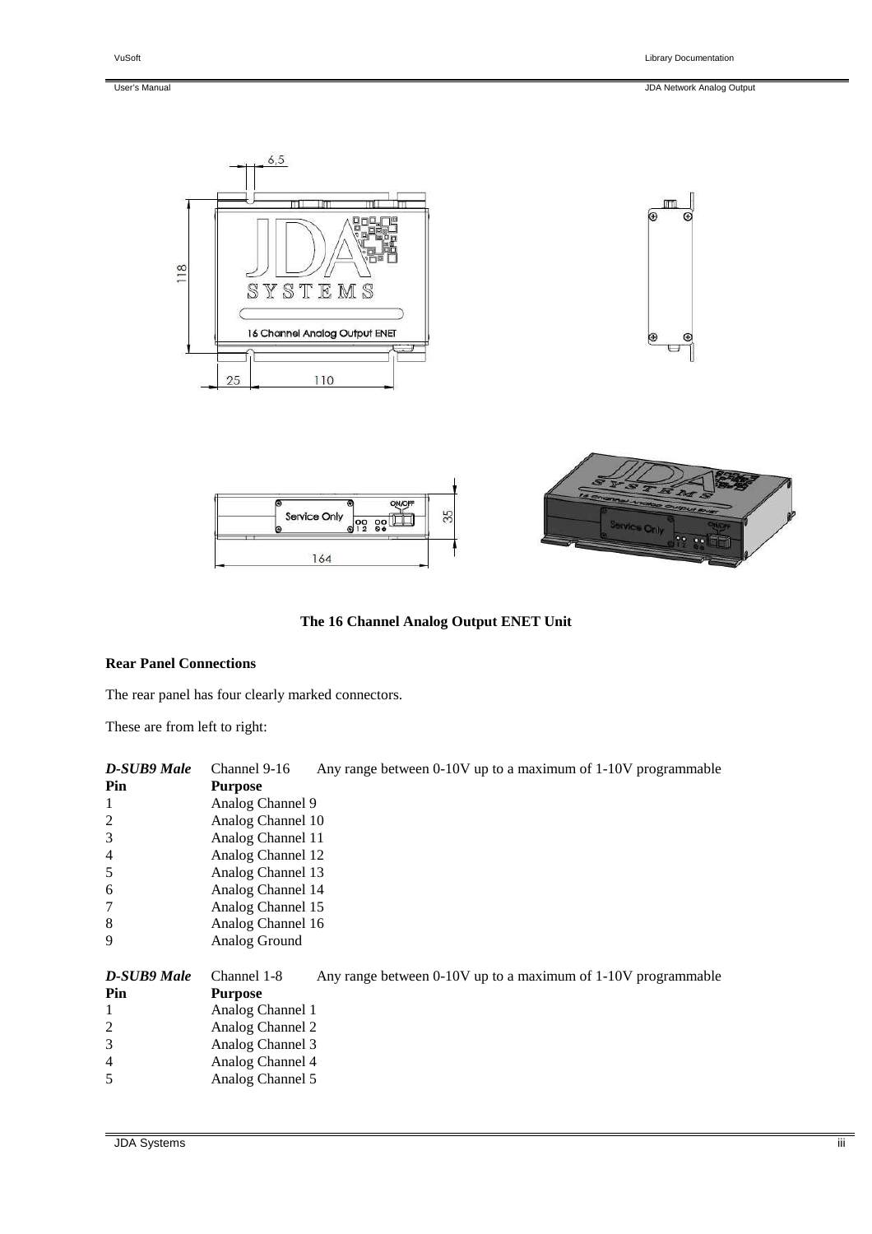User's Manual JDA Network Analog Output









# **The 16 Channel Analog Output ENET Unit**

#### **Rear Panel Connections**

The rear panel has four clearly marked connectors.

These are from left to right:

| Channel 9-16<br>Any range between 0-10V up to a maximum of 1-10V programmable |                                                               |  |  |  |
|-------------------------------------------------------------------------------|---------------------------------------------------------------|--|--|--|
| <b>Purpose</b>                                                                |                                                               |  |  |  |
| Analog Channel 9                                                              |                                                               |  |  |  |
| Analog Channel 10                                                             |                                                               |  |  |  |
| Analog Channel 11                                                             |                                                               |  |  |  |
| Analog Channel 12                                                             |                                                               |  |  |  |
| Analog Channel 13                                                             |                                                               |  |  |  |
| Analog Channel 14                                                             |                                                               |  |  |  |
| Analog Channel 15                                                             |                                                               |  |  |  |
| Analog Channel 16                                                             |                                                               |  |  |  |
| Analog Ground                                                                 |                                                               |  |  |  |
| Channel 1-8                                                                   | Any range between 0-10V up to a maximum of 1-10V programmable |  |  |  |
| <b>Purpose</b>                                                                |                                                               |  |  |  |
| Analog Channel 1                                                              |                                                               |  |  |  |
| Analog Channel 2                                                              |                                                               |  |  |  |
| Analog Channel 3                                                              |                                                               |  |  |  |
| Analog Channel 4                                                              |                                                               |  |  |  |
| Analog Channel 5                                                              |                                                               |  |  |  |
|                                                                               |                                                               |  |  |  |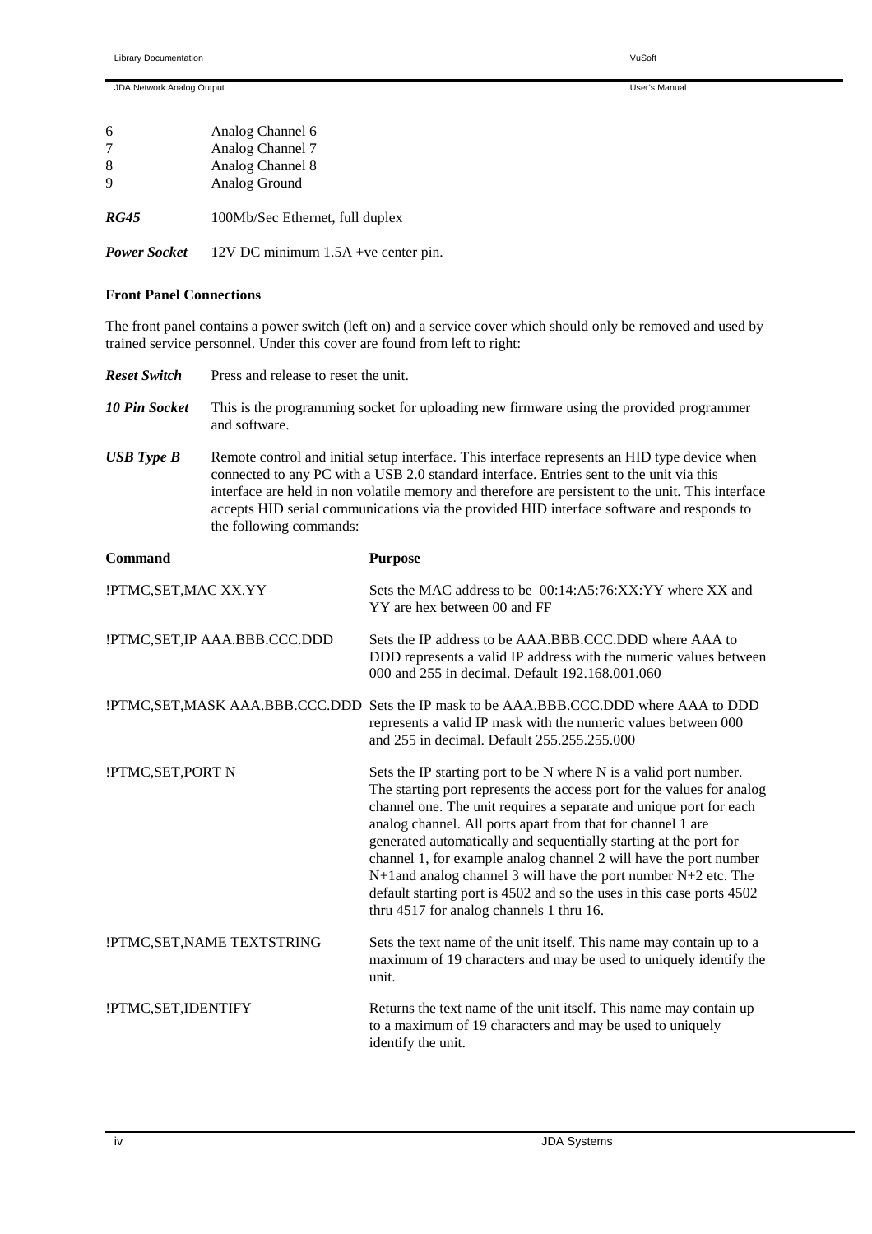|             | Analog Channel 6                |
|-------------|---------------------------------|
|             | Analog Channel 7                |
| -8          | Analog Channel 8                |
|             | Analog Ground                   |
| <i>RG45</i> | 100Mb/Sec Ethernet, full duplex |

*Power Socket* 12V DC minimum 1.5A +ve center pin.

#### **Front Panel Connections**

The front panel contains a power switch (left on) and a service cover which should only be removed and used by trained service personnel. Under this cover are found from left to right:

| <b>Reset Switch</b>    | Press and release to reset the unit.                                                                                                                                                                                                                                                                                                                                                                                    |                                                                                                                                                                                                                                                                                                                                                                                                                                                                                                                                                                                                                        |  |  |
|------------------------|-------------------------------------------------------------------------------------------------------------------------------------------------------------------------------------------------------------------------------------------------------------------------------------------------------------------------------------------------------------------------------------------------------------------------|------------------------------------------------------------------------------------------------------------------------------------------------------------------------------------------------------------------------------------------------------------------------------------------------------------------------------------------------------------------------------------------------------------------------------------------------------------------------------------------------------------------------------------------------------------------------------------------------------------------------|--|--|
| <b>10 Pin Socket</b>   | This is the programming socket for uploading new firmware using the provided programmer<br>and software.                                                                                                                                                                                                                                                                                                                |                                                                                                                                                                                                                                                                                                                                                                                                                                                                                                                                                                                                                        |  |  |
| <b>USB</b> Type B      | Remote control and initial setup interface. This interface represents an HID type device when<br>connected to any PC with a USB 2.0 standard interface. Entries sent to the unit via this<br>interface are held in non volatile memory and therefore are persistent to the unit. This interface<br>accepts HID serial communications via the provided HID interface software and responds to<br>the following commands: |                                                                                                                                                                                                                                                                                                                                                                                                                                                                                                                                                                                                                        |  |  |
| <b>Command</b>         |                                                                                                                                                                                                                                                                                                                                                                                                                         | <b>Purpose</b>                                                                                                                                                                                                                                                                                                                                                                                                                                                                                                                                                                                                         |  |  |
| !PTMC, SET, MAC XX. YY |                                                                                                                                                                                                                                                                                                                                                                                                                         | Sets the MAC address to be 00:14:A5:76:XX:YY where XX and<br>YY are hex between 00 and FF                                                                                                                                                                                                                                                                                                                                                                                                                                                                                                                              |  |  |
|                        | !PTMC,SET,IP AAA.BBB.CCC.DDD                                                                                                                                                                                                                                                                                                                                                                                            | Sets the IP address to be AAA.BBB.CCC.DDD where AAA to<br>DDD represents a valid IP address with the numeric values between<br>000 and 255 in decimal. Default 192.168.001.060                                                                                                                                                                                                                                                                                                                                                                                                                                         |  |  |
|                        |                                                                                                                                                                                                                                                                                                                                                                                                                         | !PTMC,SET,MASK AAA.BBB.CCC.DDD Sets the IP mask to be AAA.BBB.CCC.DDD where AAA to DDD<br>represents a valid IP mask with the numeric values between 000<br>and 255 in decimal. Default 255.255.255.000                                                                                                                                                                                                                                                                                                                                                                                                                |  |  |
| !PTMC,SET,PORT N       |                                                                                                                                                                                                                                                                                                                                                                                                                         | Sets the IP starting port to be N where N is a valid port number.<br>The starting port represents the access port for the values for analog<br>channel one. The unit requires a separate and unique port for each<br>analog channel. All ports apart from that for channel 1 are<br>generated automatically and sequentially starting at the port for<br>channel 1, for example analog channel 2 will have the port number<br>$N+1$ and analog channel 3 will have the port number $N+2$ etc. The<br>default starting port is 4502 and so the uses in this case ports 4502<br>thru 4517 for analog channels 1 thru 16. |  |  |
|                        | !PTMC, SET, NAME TEXTSTRING                                                                                                                                                                                                                                                                                                                                                                                             | Sets the text name of the unit itself. This name may contain up to a<br>maximum of 19 characters and may be used to uniquely identify the<br>unit.                                                                                                                                                                                                                                                                                                                                                                                                                                                                     |  |  |
| !PTMC,SET,IDENTIFY     |                                                                                                                                                                                                                                                                                                                                                                                                                         | Returns the text name of the unit itself. This name may contain up<br>to a maximum of 19 characters and may be used to uniquely<br>identify the unit.                                                                                                                                                                                                                                                                                                                                                                                                                                                                  |  |  |